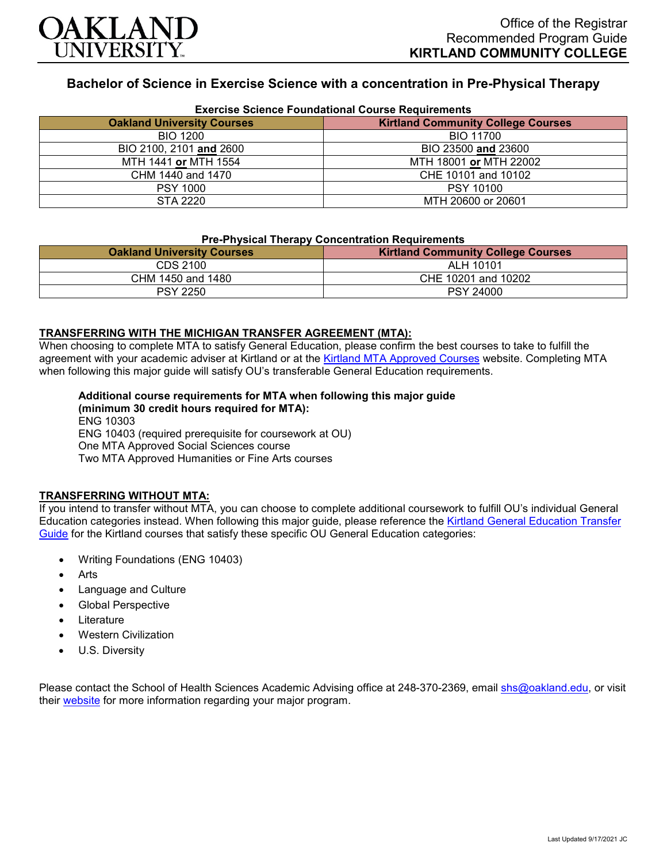

# **Bachelor of Science in Exercise Science with a concentration in Pre-Physical Therapy**

| <b>Exercise Science Foundational Course Requirements</b> |                                           |
|----------------------------------------------------------|-------------------------------------------|
| <b>Oakland University Courses</b>                        | <b>Kirtland Community College Courses</b> |
| <b>BIO 1200</b>                                          | BIO 11700                                 |
| BIO 2100, 2101 and 2600                                  | BIO 23500 and 23600                       |
| MTH 1441 or MTH 1554                                     | MTH 18001 or MTH 22002                    |
| CHM 1440 and 1470                                        | CHE 10101 and 10102                       |
| <b>PSY 1000</b>                                          | <b>PSY 10100</b>                          |
| STA 2220                                                 | MTH 20600 or 20601                        |

#### **Exercise Science Foundational Course Requirements**

## **Pre-Physical Therapy Concentration Requirements**

| <b>Oakland University Courses</b> | <b>Kirtland Community College Courses</b> |
|-----------------------------------|-------------------------------------------|
| CDS 2100                          | ALH 10101                                 |
| CHM 1450 and 1480                 | CHE 10201 and 10202                       |
| <b>PSY 2250</b>                   | <b>PSY 24000</b>                          |

#### **TRANSFERRING WITH THE MICHIGAN TRANSFER AGREEMENT (MTA):**

When choosing to complete MTA to satisfy General Education, please confirm the best courses to take to fulfill the agreement with your academic adviser at Kirtland or at the [Kirtland MTA Approved Courses](https://www.kirtland.edu/registrar/michigan-transfer-agreement) website. Completing MTA when following this major guide will satisfy OU's transferable General Education requirements.

## **Additional course requirements for MTA when following this major guide**

**(minimum 30 credit hours required for MTA):** ENG 10303 ENG 10403 (required prerequisite for coursework at OU) One MTA Approved Social Sciences course Two MTA Approved Humanities or Fine Arts courses

#### **TRANSFERRING WITHOUT MTA:**

If you intend to transfer without MTA, you can choose to complete additional coursework to fulfill OU's individual General Education categories instead. When following this major guide, please reference the Kirtland General Education Transfer [Guide](https://www.oakland.edu/Assets/Oakland/program-guides/kirtland-community-college/university-general-education-requirements/Kirtland%20Gen%20Ed.pdf) for the Kirtland courses that satisfy these specific OU General Education categories:

- Writing Foundations (ENG 10403)
- **Arts**
- Language and Culture
- Global Perspective
- **Literature**
- Western Civilization
- U.S. Diversity

Please contact the School of Health Sciences Academic Advising office at 248-370-2369, email [shs@oakland.edu,](mailto:shs@oakland.edu) or visit their [website](http://www.oakland.edu/shs/advising) for more information regarding your major program.